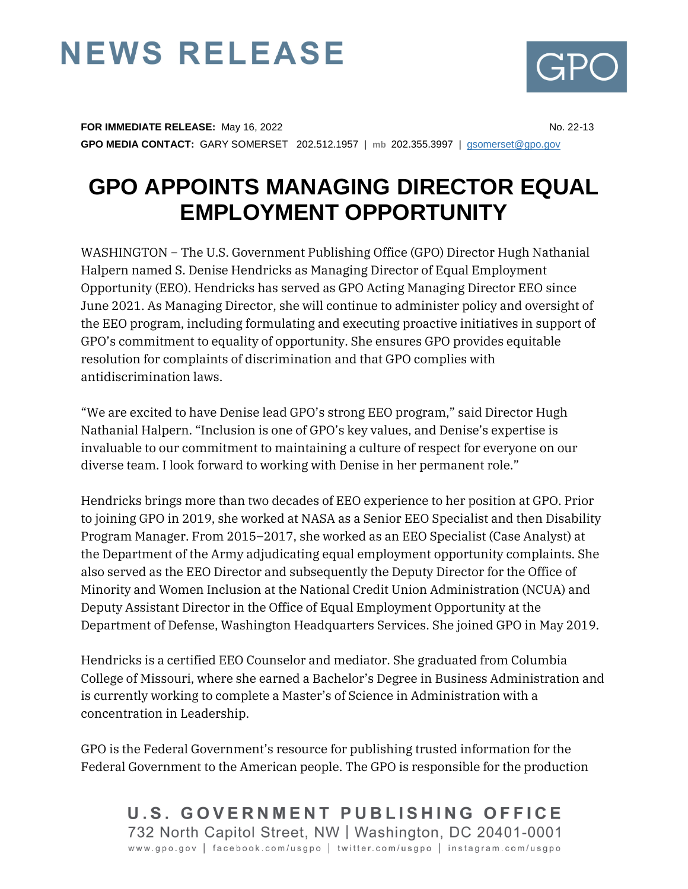## **NEWS RELEASE**



**FOR IMMEDIATE RELEASE:** May 16, 2022 **No. 22-13** No. 22-13 **GPO MEDIA CONTACT:** GARY SOMERSET 202.512.1957 | **mb** 202.355.3997 | [gsomerset@gpo.gov](mailto:gsomerset@gpo.gov) 

## **GPO APPOINTS MANAGING DIRECTOR EQUAL EMPLOYMENT OPPORTUNITY**

WASHINGTON − The U.S. Government Publishing Office (GPO) Director Hugh Nathanial Halpern named S. Denise Hendricks as Managing Director of Equal Employment Opportunity (EEO). Hendricks has served as GPO Acting Managing Director EEO since June 2021. As Managing Director, she will continue to administer policy and oversight of the EEO program, including formulating and executing proactive initiatives in support of GPO's commitment to equality of opportunity. She ensures GPO provides equitable resolution for complaints of discrimination and that GPO complies with antidiscrimination laws.

"We are excited to have Denise lead GPO's strong EEO program," said Director Hugh Nathanial Halpern. "Inclusion is one of GPO's key values, and Denise's expertise is invaluable to our commitment to maintaining a culture of respect for everyone on our diverse team. I look forward to working with Denise in her permanent role."

Hendricks brings more than two decades of EEO experience to her position at GPO. Prior to joining GPO in 2019, she worked at NASA as a Senior EEO Specialist and then Disability Program Manager. From 2015–2017, she worked as an EEO Specialist (Case Analyst) at the Department of the Army adjudicating equal employment opportunity complaints. She also served as the EEO Director and subsequently the Deputy Director for the Office of Minority and Women Inclusion at the National Credit Union Administration (NCUA) and Deputy Assistant Director in the Office of Equal Employment Opportunity at the Department of Defense, Washington Headquarters Services. She joined GPO in May 2019.

Hendricks is a certified EEO Counselor and mediator. She graduated from Columbia College of Missouri, where she earned a Bachelor's Degree in Business Administration and is currently working to complete a Master's of Science in Administration with a concentration in Leadership.

GPO is the Federal Government's resource for publishing trusted information for the Federal Government to the American people. The GPO is responsible for the production

U.S. GOVERNMENT PUBLISHING OFFICE 732 North Capitol Street, NW | Washington, DC 20401-0001 www.gpo.gov | facebook.com/usgpo | twitter.com/usgpo | instagram.com/usgpo